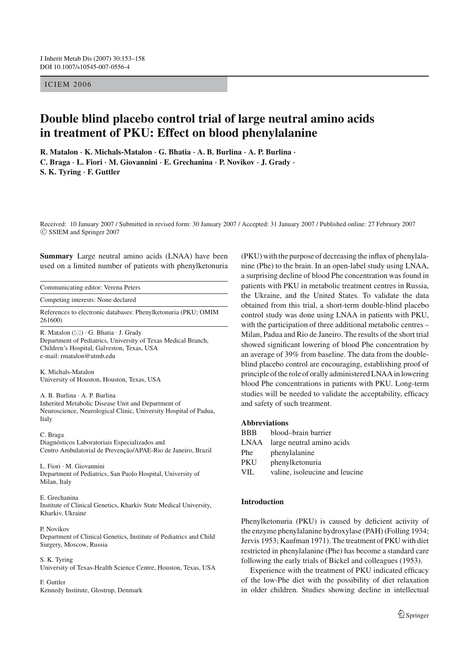# ICIEM 2006

# **Double blind placebo control trial of large neutral amino acids in treatment of PKU: Effect on blood phenylalanine**

**R. Matalon** *·* **K. Michals-Matalon** *·* **G. Bhatia** *·* **A. B. Burlina** *·* **A. P. Burlina** *·* **C. Braga** *·* **L. Fiori** *·* **M. Giovannini** *·* **E. Grechanina** *·* **P. Novikov** *·* **J. Grady** *·* **S. K. Tyring** *·* **F. Guttler**

Received: 10 January 2007 / Submitted in revised form: 30 January 2007 / Accepted: 31 January 2007 / Published online: 27 February 2007  $C$  SSIEM and Springer 2007

**Summary** Large neutral amino acids (LNAA) have been used on a limited number of patients with phenylketonuria

Communicating editor: Verena Peters

Competing interests: None declared

References to electronic databases: Phenylketonuria (PKU; OMIM 261600)

R. Matalon  $(\boxtimes) \cdot$  G. Bhatia  $\cdot$  J. Grady Department of Pediatrics, University of Texas Medical Branch, Children's Hospital, Galveston, Texas, USA e-mail: rmatalon@utmb.edu

K. Michals-Matalon University of Houston, Houston, Texas, USA

A. B. Burlina . A. P. Burlina Inherited Metabolic Disease Unit and Department of Neuroscience, Neurological Clinic, University Hospital of Padua, Italy

C. Braga Diagnósticos Laboratoriais Especializados and Centro Ambulatorial de Prevenção/APAE-Rio de Janeiro, Brazil

L. Fiori . M. Giovannini Department of Pediatrics, San Paolo Hospital, University of Milan, Italy

E. Grechanina Institute of Clinical Genetics, Kharkiv State Medical University, Kharkiv, Ukraine

P. Novikov Department of Clinical Genetics, Institute of Pediatrics and Child Surgery, Moscow, Russia

S. K. Tyring University of Texas-Health Science Centre, Houston, Texas, USA

F. Guttler Kennedy Institute, Glostrup, Denmark (PKU) with the purpose of decreasing the influx of phenylalanine (Phe) to the brain. In an open-label study using LNAA, a surprising decline of blood Phe concentration was found in patients with PKU in metabolic treatment centres in Russia, the Ukraine, and the United States. To validate the data obtained from this trial, a short-term double-blind placebo control study was done using LNAA in patients with PKU, with the participation of three additional metabolic centres – Milan, Padua and Rio de Janeiro. The results of the short trial showed significant lowering of blood Phe concentration by an average of 39% from baseline. The data from the doubleblind placebo control are encouraging, establishing proof of principle of the role of orally administered LNAA in lowering blood Phe concentrations in patients with PKU. Long-term studies will be needed to validate the acceptability, efficacy and safety of such treatment.

# **Abbreviations**

BBB blood–brain barrier

LNAA large neutral amino acids

Phe phenylalanine

PKU phenylketonuria

VIL valine, isoleucine and leucine

#### **Introduction**

Phenylketonuria (PKU) is caused by deficient activity of the enzyme phenylalanine hydroxylase (PAH) (Folling 1934; Jervis 1953; Kaufman 1971). The treatment of PKU with diet restricted in phenylalanine (Phe) has become a standard care following the early trials of Bickel and colleagues (1953).

Experience with the treatment of PKU indicated efficacy of the low-Phe diet with the possibility of diet relaxation in older children. Studies showing decline in intellectual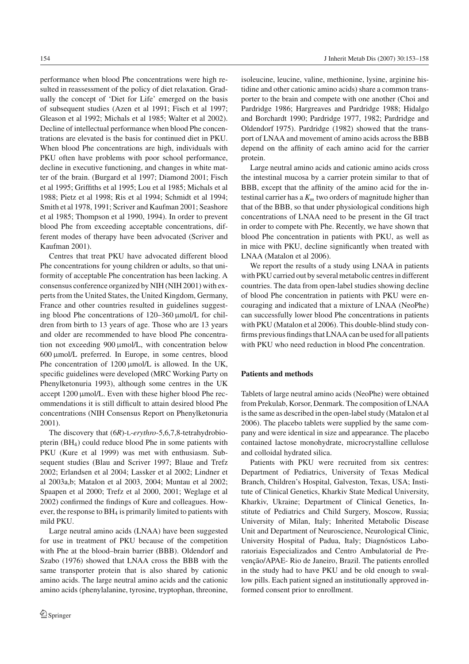performance when blood Phe concentrations were high resulted in reassessment of the policy of diet relaxation. Gradually the concept of 'Diet for Life' emerged on the basis of subsequent studies (Azen et al 1991; Fisch et al 1997; Gleason et al 1992; Michals et al 1985; Walter et al 2002). Decline of intellectual performance when blood Phe concentrations are elevated is the basis for continued diet in PKU. When blood Phe concentrations are high, individuals with PKU often have problems with poor school performance, decline in executive functioning, and changes in white matter of the brain. (Burgard et al 1997; Diamond 2001; Fisch et al 1995; Griffiths et al 1995; Lou et al 1985; Michals et al 1988; Pietz et al 1998; Ris et al 1994; Schmidt et al 1994; Smith et al 1978, 1991; Scriver and Kaufman 2001; Seashore et al 1985; Thompson et al 1990, 1994). In order to prevent blood Phe from exceeding acceptable concentrations, different modes of therapy have been advocated (Scriver and Kaufman 2001).

Centres that treat PKU have advocated different blood Phe concentrations for young children or adults, so that uniformity of acceptable Phe concentration has been lacking. A consensus conference organized by NIH (NIH 2001) with experts from the United States, the United Kingdom, Germany, France and other countries resulted in guidelines suggesting blood Phe concentrations of 120–360 μmol/L for children from birth to 13 years of age. Those who are 13 years and older are recommended to have blood Phe concentration not exceeding 900 μmol/L, with concentration below 600 μmol/L preferred. In Europe, in some centres, blood Phe concentration of 1200 μmol/L is allowed. In the UK, specific guidelines were developed (MRC Working Party on Phenylketonuria 1993), although some centres in the UK accept 1200 μmol/L. Even with these higher blood Phe recommendations it is still difficult to attain desired blood Phe concentrations (NIH Consensus Report on Phenylketonuria 2001).

The discovery that (6*R*)-L-*erythro*-5,6,7,8-tetrahydrobiopterin (BH4) could reduce blood Phe in some patients with PKU (Kure et al 1999) was met with enthusiasm. Subsequent studies (Blau and Scriver 1997; Blaue and Trefz 2002; Erlandsen et al 2004; Lassker et al 2002; Lindner et al 2003a,b; Matalon et al 2003, 2004; Muntau et al 2002; Spaapen et al 2000; Trefz et al 2000, 2001; Weglage et al 2002) confirmed the findings of Kure and colleagues. However, the response to  $BH<sub>4</sub>$  is primarily limited to patients with mild PKU.

Large neutral amino acids (LNAA) have been suggested for use in treatment of PKU because of the competition with Phe at the blood–brain barrier (BBB). Oldendorf and Szabo (1976) showed that LNAA cross the BBB with the same transporter protein that is also shared by cationic amino acids. The large neutral amino acids and the cationic amino acids (phenylalanine, tyrosine, tryptophan, threonine,

isoleucine, leucine, valine, methionine, lysine, arginine histidine and other cationic amino acids) share a common transporter to the brain and compete with one another (Choi and Pardridge 1986; Hargreaves and Pardridge 1988; Hidalgo and Borchardt 1990; Pardridge 1977, 1982; Pardridge and Oldendorf 1975). Pardridge (1982) showed that the transport of LNAA and movement of amino acids across the BBB depend on the affinity of each amino acid for the carrier protein.

Large neutral amino acids and cationic amino acids cross the intestinal mucosa by a carrier protein similar to that of BBB, except that the affinity of the amino acid for the intestinal carrier has a  $K<sub>m</sub>$  two orders of magnitude higher than that of the BBB, so that under physiological conditions high concentrations of LNAA need to be present in the GI tract in order to compete with Phe. Recently, we have shown that blood Phe concentration in patients with PKU, as well as in mice with PKU, decline significantly when treated with LNAA (Matalon et al 2006).

We report the results of a study using LNAA in patients with PKU carried out by several metabolic centres in different countries. The data from open-label studies showing decline of blood Phe concentration in patients with PKU were encouraging and indicated that a mixture of LNAA (NeoPhe) can successfully lower blood Phe concentrations in patients with PKU (Matalon et al 2006). This double-blind study confirms previous findings that LNAA can be used for all patients with PKU who need reduction in blood Phe concentration.

#### **Patients and methods**

Tablets of large neutral amino acids (NeoPhe) were obtained from Prekulab, Korsor, Denmark. The composition of LNAA is the same as described in the open-label study (Matalon et al 2006). The placebo tablets were supplied by the same company and were identical in size and appearance. The placebo contained lactose monohydrate, microcrystalline cellulose and colloidal hydrated silica.

Patients with PKU were recruited from six centres: Department of Pediatrics, University of Texas Medical Branch, Children's Hospital, Galveston, Texas, USA; Institute of Clinical Genetics, Kharkiv State Medical University, Kharkiv, Ukraine; Department of Clinical Genetics, Institute of Pediatrics and Child Surgery, Moscow, Russia; University of Milan, Italy; Inherited Metabolic Disease Unit and Department of Neuroscience, Neurological Clinic, University Hospital of Padua, Italy; Diagnósticos Laboratoriais Especializados and Centro Ambulatorial de Prevenção/APAE- Rio de Janeiro, Brazil. The patients enrolled in the study had to have PKU and be old enough to swallow pills. Each patient signed an institutionally approved informed consent prior to enrollment.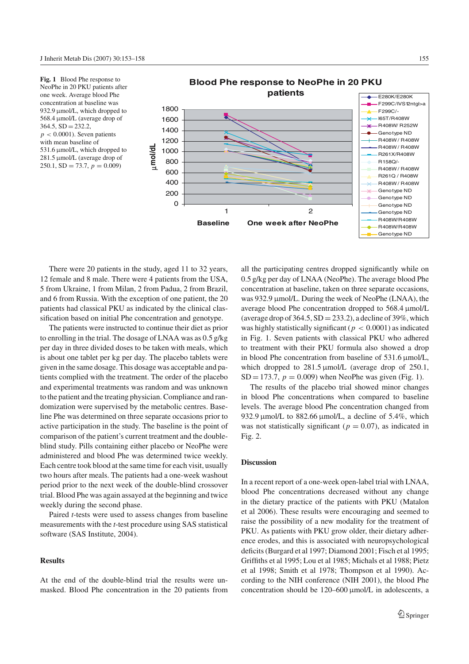**Fig. 1** Blood Phe response to NeoPhe in 20 PKU patients after one week. Average blood Phe concentration at baseline was 932.9 μmol/L, which dropped to 568.4 μmol/L (average drop of  $364.5, SD = 232.2,$  $p < 0.0001$ ). Seven patients with mean baseline of 531.6 μmol/L, which dropped to

281.5 μmol/L (average drop of 250.1,  $SD = 73.7$ ,  $p = 0.009$ )



**Blood Phe response to NeoPhe in 20 PKU** 

There were 20 patients in the study, aged 11 to 32 years, 12 female and 8 male. There were 4 patients from the USA, 5 from Ukraine, 1 from Milan, 2 from Padua, 2 from Brazil, and 6 from Russia. With the exception of one patient, the 20 patients had classical PKU as indicated by the clinical classification based on initial Phe concentration and genotype.

The patients were instructed to continue their diet as prior to enrolling in the trial. The dosage of LNAA was as 0.5 g/kg per day in three divided doses to be taken with meals, which is about one tablet per kg per day. The placebo tablets were given in the same dosage. This dosage was acceptable and patients complied with the treatment. The order of the placebo and experimental treatments was random and was unknown to the patient and the treating physician. Compliance and randomization were supervised by the metabolic centres. Baseline Phe was determined on three separate occasions prior to active participation in the study. The baseline is the point of comparison of the patient's current treatment and the doubleblind study. Pills containing either placebo or NeoPhe were administered and blood Phe was determined twice weekly. Each centre took blood at the same time for each visit, usually two hours after meals. The patients had a one-week washout period prior to the next week of the double-blind crossover trial. Blood Phe was again assayed at the beginning and twice weekly during the second phase.

Paired *t*-tests were used to assess changes from baseline measurements with the *t*-test procedure using SAS statistical software (SAS Institute, 2004).

## **Results**

At the end of the double-blind trial the results were unmasked. Blood Phe concentration in the 20 patients from all the participating centres dropped significantly while on 0.5 g/kg per day of LNAA (NeoPhe). The average blood Phe concentration at baseline, taken on three separate occasions, was 932.9 μmol/L. During the week of NeoPhe (LNAA), the average blood Phe concentration dropped to 568.4 μmol/L (average drop of 364.5,  $SD = 233.2$ ), a decline of 39%, which was highly statistically significant (*p* < 0.0001) as indicated in Fig. 1. Seven patients with classical PKU who adhered to treatment with their PKU formula also showed a drop in blood Phe concentration from baseline of 531.6 μmol/L, which dropped to 281.5 μmol/L (average drop of 250.1,  $SD = 173.7, p = 0.009$ ) when NeoPhe was given (Fig. 1).

The results of the placebo trial showed minor changes in blood Phe concentrations when compared to baseline levels. The average blood Phe concentration changed from 932.9 μmol/L to 882.66 μmol/L, a decline of 5.4%, which was not statistically significant ( $p = 0.07$ ), as indicated in Fig. 2.

# **Discussion**

In a recent report of a one-week open-label trial with LNAA, blood Phe concentrations decreased without any change in the dietary practice of the patients with PKU (Matalon et al 2006). These results were encouraging and seemed to raise the possibility of a new modality for the treatment of PKU. As patients with PKU grow older, their dietary adherence erodes, and this is associated with neuropsychological deficits (Burgard et al 1997; Diamond 2001; Fisch et al 1995; Griffiths et al 1995; Lou et al 1985; Michals et al 1988; Pietz et al 1998; Smith et al 1978; Thompson et al 1990). According to the NIH conference (NIH 2001), the blood Phe concentration should be 120–600 μmol/L in adolescents, a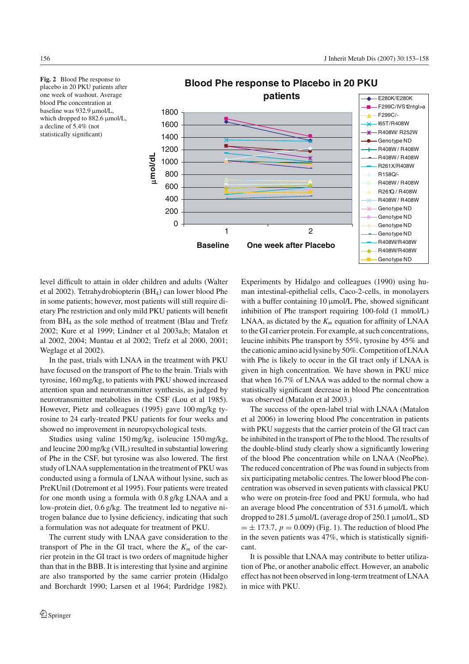

**Blood Phe response to Placebo in 20 PKU** 

level difficult to attain in older children and adults (Walter et al 2002). Tetrahydrobiopterin (BH4) can lower blood Phe in some patients; however, most patients will still require dietary Phe restriction and only mild PKU patients will benefit from BH4 as the sole method of treatment (Blau and Trefz 2002; Kure et al 1999; Lindner et al 2003a,b; Matalon et al 2002, 2004; Muntau et al 2002; Trefz et al 2000, 2001;

In the past, trials with LNAA in the treatment with PKU have focused on the transport of Phe to the brain. Trials with tyrosine, 160 mg/kg, to patients with PKU showed increased attention span and neurotransmitter synthesis, as judged by neurotransmitter metabolites in the CSF (Lou et al 1985). However, Pietz and colleagues (1995) gave 100 mg/kg tyrosine to 24 early-treated PKU patients for four weeks and showed no improvement in neuropsychological tests.

Studies using valine 150 mg/kg, isoleucine 150 mg/kg, and leucine 200 mg/kg (VIL) resulted in substantial lowering of Phe in the CSF, but tyrosine was also lowered. The first study of LNAA supplementation in the treatment of PKU was conducted using a formula of LNAA without lysine, such as PreKUnil (Dotremont et al 1995). Four patients were treated for one month using a formula with 0.8 g/kg LNAA and a low-protein diet, 0.6 g/kg. The treatment led to negative nitrogen balance due to lysine deficiency, indicating that such a formulation was not adequate for treatment of PKU.

The current study with LNAA gave consideration to the transport of Phe in the GI tract, where the  $K_m$  of the carrier protein in the GI tract is two orders of magnitude higher than that in the BBB. It is interesting that lysine and arginine are also transported by the same carrier protein (Hidalgo and Borchardt 1990; Larsen et al 1964; Pardridge 1982).

Experiments by Hidalgo and colleagues (1990) using human intestinal-epithelial cells, Caco-2-cells, in monolayers with a buffer containing 10 μmol/L Phe, showed significant inhibition of Phe transport requiring 100-fold (1 mmol/L) LNAA, as dictated by the  $K_m$  equation for affinity of LNAA to the GI carrier protein. For example, at such concentrations, leucine inhibits Phe transport by 55%, tyrosine by 45% and the cationic amino acid lysine by 50%. Competition of LNAA with Phe is likely to occur in the GI tract only if LNAA is given in high concentration. We have shown in PKU mice that when 16.7% of LNAA was added to the normal chow a statistically significant decrease in blood Phe concentration was observed (Matalon et al 2003.)

The success of the open-label trial with LNAA (Matalon et al 2006) in lowering blood Phe concentration in patients with PKU suggests that the carrier protein of the GI tract can be inhibited in the transport of Phe to the blood. The results of the double-blind study clearly show a significantly lowering of the blood Phe concentration while on LNAA (NeoPhe). The reduced concentration of Phe was found in subjects from six participating metabolic centres. The lower blood Phe concentration was observed in seven patients with classical PKU who were on protein-free food and PKU formula, who had an average blood Phe concentration of 531.6 μmol/L which dropped to 281.5 μmol/L (average drop of 250.1 μmol/L, SD  $= \pm 173.7$ ,  $p = 0.009$ ) (Fig. 1). The reduction of blood Phe in the seven patients was 47%, which is statistically significant.

It is possible that LNAA may contribute to better utilization of Phe, or another anabolic effect. However, an anabolic effect has not been observed in long-term treatment of LNAA in mice with PKU.

**Fig. 2** Blood Phe response to placebo in 20 PKU patients after one week of washout. Average blood Phe concentration at baseline was 932.9 μmol/L, which dropped to 882.6 μmol/L, a decline of 5.4% (not statistically significant)

Weglage et al 2002).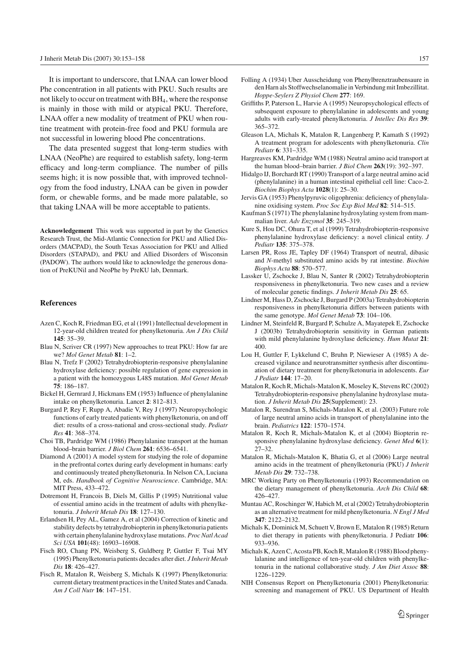It is important to underscore, that LNAA can lower blood Phe concentration in all patients with PKU. Such results are not likely to occur on treatment with BH4, where the response is mainly in those with mild or atypical PKU. Therefore, LNAA offer a new modality of treatment of PKU when routine treatment with protein-free food and PKU formula are not successful in lowering blood Phe concentrations.

The data presented suggest that long-term studies with LNAA (NeoPhe) are required to establish safety, long-term efficacy and long-term compliance. The number of pills seems high; it is now possible that, with improved technology from the food industry, LNAA can be given in powder form, or chewable forms, and be made more palatable, so that taking LNAA will be more acceptable to patients.

**Acknowledgement** This work was supported in part by the Genetics Research Trust, the Mid-Atlantic Connection for PKU and Allied Disorders (MACPAD), the South Texas Association for PKU and Allied Disorders (STAPAD), and PKU and Allied Disorders of Wisconsin (PADOW). The authors would like to acknowledge the generous donation of PreKUNil and NeoPhe by PreKU lab, Denmark.

# **References**

- Azen C, Koch R, Friedman EG, et al (1991) Intellectual development in 12-year-old children treated for phenylketonuria. *Am J Dis Child* **145**: 35–39.
- Blau N, Scriver CR (1997) New approaches to treat PKU: How far are we? *Mol Genet Metab* **81**: 1–2.
- Blau N, Trefz F (2002) Tetrahydrobiopterin-responsive phenylalanine hydroxylase deficiency: possible regulation of gene expression in a patient with the homozygous L48S mutation. *Mol Genet Metab* **75**: 186–187.
- Bickel H, Gernrard J, Hickmans EM (1953) Influence of phenylalanine intake on phenylketonuria. Lancet **2**: 812–813.
- Burgard P, Rey F, Rupp A, Abadie V, Rey J (1997) Neuropsychologic functions of early treated patients with phenylketonuria, on and off diet: results of a cross-national and cross-sectional study. *Pediatr Res* **41**: 368–374.
- Choi TB, Pardridge WM (1986) Phenylalanine transport at the human blood–brain barrier. *J Biol Chem* **261**: 6536–6541.
- Diamond A (2001) A model system for studying the role of dopamine in the prefrontal cortex during early development in humans: early and continuously treated phenylketonuria. In Nelson CA, Luciana M, eds. *Handbook of Cognitive Neuroscience*. Cambridge, MA: MIT Press, 433–472.
- Dotremont H, Francois B, Diels M, Gillis P (1995) Nutritional value of essential amino acids in the treatment of adults with phenylketonuria. *J Inherit Metab Dis* **18**: 127–130.
- Erlandsen H, Pey AL, Gamez A, et al (2004) Correction of kinetic and stability defects by tetrahydrobiopterin in phenylketonuria patients with certain phenylalanine hydroxylase mutations. *Proc Natl Acad Sci USA* **101**(48): 16903–16908.
- Fisch RO, Chang PN, Weisberg S, Guldberg P, Guttler F, Tsai MY (1995) Phenylketonuria patients decades after diet. *J Inherit Metab Dis* **18**: 426–427.
- Fisch R, Matalon R, Weisberg S, Michals K (1997) Phenylketonuria: current dietary treatment practices in the United States and Canada. *Am J Coll Nutr* **16**: 147–151.
- Folling A (1934) Uber Ausscheidung von Phenylbrenztraubensaure in den Harn als Stoffwechselanomalie in Verbindung mit Imbezillitat. *Hoppe-Seylers Z Physiol Chem* **277**: 169.
- Griffiths P, Paterson L, Harvie A (1995) Neuropsychological effects of subsequent exposure to phenylalanine in adolescents and young adults with early-treated phenylketonuria. *J Intellec Dis Res* **39**: 365–372.
- Gleason LA, Michals K, Matalon R, Langenberg P, Kamath S (1992) A treatment program for adolescents with phenylketonuria. *Clin Pediatr* **6**: 331–335.
- Hargreaves KM, Pardridge WM (1988) Neutral amino acid transport at the human blood–brain barrier. *J Biol Chem* **263**(19): 392–397.
- Hidalgo IJ, Borchardt RT (1990) Transport of a large neutral amino acid (phenylalanine) in a human intestinal epithelial cell line: Caco-2. *Biochim Biophys Acta* **1028**(1): 25–30.
- Jervis GA (1953) Phenylpyruvic oligophrenia: deficiency of phenylalanine oxidising system. *Proc Soc Exp Biol Med* **82**: 514–515.
- Kaufman S (1971) The phenylalanine hydroxylating system from mammalian liver. *Adv Enzymol* **35**: 245–319.
- Kure S, Hou DC, Ohura T, et al (1999) Tetrahydrobiopterin-responsive phenylalanine hydroxylase deficiency: a novel clinical entity. *J Pediatr* **135**: 375–378.
- Larsen PR, Ross JE, Tapley DF (1964) Transport of neutral, dibasic and *N*-methyl substituted amino acids by rat intestine. *Biochim Biophys Acta* **88**: 570–577.
- Lassker U, Zschocke J, Blau N, Santer R (2002) Tetrahydrobiopterin responsiveness in phenylketonuria. Two new cases and a review of molecular genetic findings. *J Inherit Metab Dis* **25**: 65.
- Lindner M, Hass D, Zschocke J, Burgard P (2003a) Tetrahydrobiopterin responsiveness in phenylketonuria differs between patients with the same genotype. *Mol Genet Metab* **73**: 104–106.
- Lindner M, Steinfeld R, Burgard P, Schulze A, Mayatepek E, Zschocke J (2003b) Tetrahydrobiopterin sensitivity in German patients with mild phenylalanine hydroxylase deficiency. *Hum Mutat* **21**: 400.
- Lou H, Guttler F, Lykkelund C, Bruhn P, Niewieser A (1985) A decreased vigilance and neurotransmitter synthesis after discontinuation of dietary treatment for phenylketonuria in adolescents. *Eur J Pediatr* **144**: 17–20.
- Matalon R, Koch R, Michals-Matalon K, Moseley K, Stevens RC (2002) Tetrahydrobiopterin-responsive phenylalanine hydroxylase mutation. *J Inherit Metab Dis* **25**(Supplement): 23.
- Matalon R, Surendran S, Michals-Matalon K, et al. (2003) Future role of large neutral amino acids in transport of phenylalanine into the brain. *Pediatrics* **122**: 1570–1574.
- Matalon R, Koch R, Michals-Matalon K, et al (2004) Biopterin responsive phenylalanine hydroxylase deficiency. *Genet Med* **6**(1): 27–32.
- Matalon R, Michals-Matalon K, Bhatia G, et al (2006) Large neutral amino acids in the treatment of phenylketonuria (PKU) *J Inherit Metab Dis* **29**: 732–738.
- MRC Working Party on Phenylketonuria (1993) Recommendation on the dietary management of phenylketonuria. *Arch Dis Child* **68**: 426–427.
- Muntau AC, Roschinger W, Habich M, et al (2002) Tetrahydrobiopterin as an alternative treatment for mild phenylketonuria. *N Engl J Med* **347**: 2122–2132.
- Michals K, Dominick M, Schuett V, Brown E, Matalon R (1985) Return to diet therapy in patients with phenylketonuria. J Pediatr **106**: 933–936.
- Michals K, Azen C, Acosta PB, Koch R, Matalon R (1988) Blood phenylalanine and intelligence of ten-year-old children with phenylketonuria in the national collaborative study. *J Am Diet Assoc* **88**: 1226–1229.
- NIH Consensus Report on Phenylketonuria (2001) Phenylketonuria: screening and management of PKU. US Department of Health